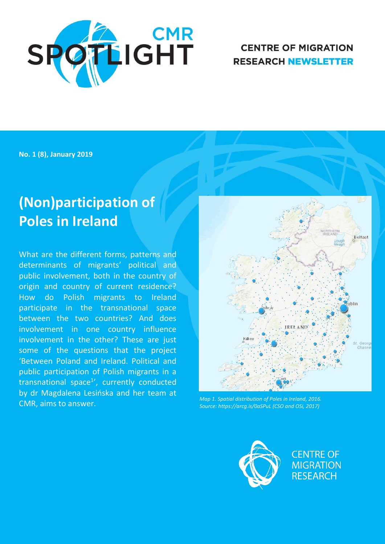

# **CENTRE OF MIGRATION RESEARCH NEWSLETTER**

**No. 1 (8), January 2019** 

# **(Non)participation of Poles in Ireland**

What are the different forms, patterns and determinants of migrants' political and public involvement, both in the country of origin and country of current residence? How do Polish migrants to Ireland participate in the transnational space between the two countries? And does involvement in one country influence involvement in the other? These are just some of the questions that the project 'Between Poland and Ireland. Political and public participation of Polish migrants in a transnational space<sup>1</sup>', currently conducted by dr Magdalena Lesińska and her team at CMR, aims to answer. *Map 1. Spatial distribution of Poles in Ireland, 2016.* 



*Source: https://arcg.is/0aSPuL (CSO and OSi, 2017)* 



**CENTRE OF MIGRATION RESEARCH**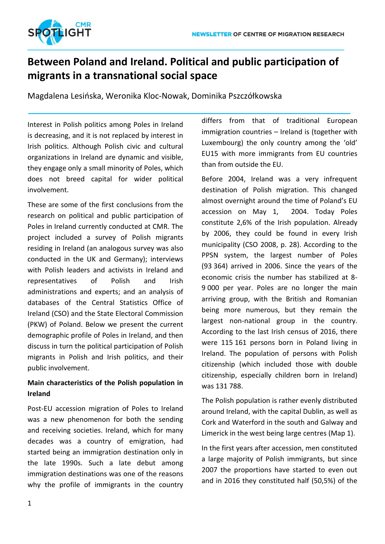

# **Between Poland and Ireland. Political and public participation of migrants in a transnational social space**

Magdalena Lesińska, Weronika Kloc-Nowak, Dominika Pszczółkowska

Interest in Polish politics among Poles in Ireland is decreasing, and it is not replaced by interest in Irish politics. Although Polish civic and cultural organizations in Ireland are dynamic and visible, they engage only a small minority of Poles, which does not breed capital for wider political involvement.

These are some of the first conclusions from the research on political and public participation of Poles in Ireland currently conducted at CMR. The project included a survey of Polish migrants residing in Ireland (an analogous survey was also conducted in the UK and Germany); interviews with Polish leaders and activists in Ireland and representatives of Polish and Irish administrations and experts; and an analysis of databases of the Central Statistics Office of Ireland (CSO) and the State Electoral Commission (PKW) of Poland. Below we present the current demographic profile of Poles in Ireland, and then discuss in turn the political participation of Polish migrants in Polish and Irish politics, and their public involvement.

### **Main characteristics of the Polish population in Ireland**

Post-EU accession migration of Poles to Ireland was a new phenomenon for both the sending and receiving societies. Ireland, which for many decades was a country of emigration, had started being an immigration destination only in the late 1990s. Such a late debut among immigration destinations was one of the reasons why the profile of immigrants in the country differs from that of traditional European immigration countries – Ireland is (together with Luxembourg) the only country among the 'old' EU15 with more immigrants from EU countries than from outside the EU.

Before 2004, Ireland was a very infrequent destination of Polish migration. This changed almost overnight around the time of Poland's EU accession on May 1, 2004. Today Poles constitute 2,6% of the Irish population. Already by 2006, they could be found in every Irish municipality (CSO 2008, p. 28). According to the PPSN system, the largest number of Poles (93 364) arrived in 2006. Since the years of the economic crisis the number has stabilized at 8- 9 000 per year. Poles are no longer the main arriving group, with the British and Romanian being more numerous, but they remain the largest non-national group in the country. According to the last Irish census of 2016, there were 115 161 persons born in Poland living in Ireland. The population of persons with Polish citizenship (which included those with double citizenship, especially children born in Ireland) was 131 788.

The Polish population is rather evenly distributed around Ireland, with the capital Dublin, as well as Cork and Waterford in the south and Galway and Limerick in the west being large centres (Map 1).

In the first years after accession, men constituted a large majority of Polish immigrants, but since 2007 the proportions have started to even out and in 2016 they constituted half (50,5%) of the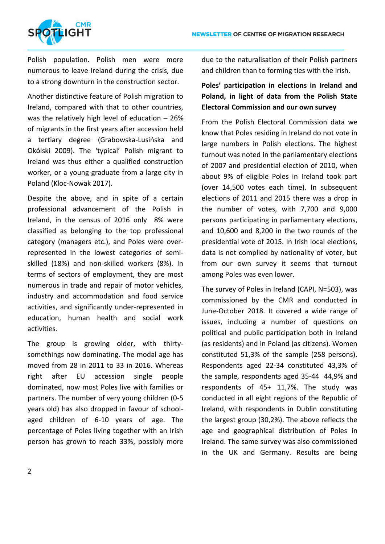

Polish population. Polish men were more numerous to leave Ireland during the crisis, due to a strong downturn in the construction sector.

Another distinctive feature of Polish migration to Ireland, compared with that to other countries, was the relatively high level of education – 26% of migrants in the first years after accession held a tertiary degree (Grabowska-Lusińska and Okólski 2009). The 'typical' Polish migrant to Ireland was thus either a qualified construction worker, or a young graduate from a large city in Poland (Kloc-Nowak 2017).

Despite the above, and in spite of a certain professional advancement of the Polish in Ireland, in the census of 2016 only 8% were classified as belonging to the top professional category (managers etc.), and Poles were overrepresented in the lowest categories of semiskilled (18%) and non-skilled workers (8%). In terms of sectors of employment, they are most numerous in trade and repair of motor vehicles, industry and accommodation and food service activities, and significantly under-represented in education, human health and social work activities.

The group is growing older, with thirtysomethings now dominating. The modal age has moved from 28 in 2011 to 33 in 2016. Whereas right after EU accession single people dominated, now most Poles live with families or partners. The number of very young children (0-5 years old) has also dropped in favour of schoolaged children of 6-10 years of age. The percentage of Poles living together with an Irish person has grown to reach 33%, possibly more due to the naturalisation of their Polish partners and children than to forming ties with the Irish.

## **Poles' participation in elections in Ireland and Poland, in light of data from the Polish State Electoral Commission and our own survey**

From the Polish Electoral Commission data we know that Poles residing in Ireland do not vote in large numbers in Polish elections. The highest turnout was noted in the parliamentary elections of 2007 and presidential election of 2010, when about 9% of eligible Poles in Ireland took part (over 14,500 votes each time). In subsequent elections of 2011 and 2015 there was a drop in the number of votes, with 7,700 and 9,000 persons participating in parliamentary elections, and 10,600 and 8,200 in the two rounds of the presidential vote of 2015. In Irish local elections, data is not complied by nationality of voter, but from our own survey it seems that turnout among Poles was even lower.

The survey of Poles in Ireland (CAPI, N=503), was commissioned by the CMR and conducted in June-October 2018. It covered a wide range of issues, including a number of questions on political and public participation both in Ireland (as residents) and in Poland (as citizens). Women constituted 51,3% of the sample (258 persons). Respondents aged 22-34 constituted 43,3% of the sample, respondents aged 35-44 44,9% and respondents of 45+ 11,7%. The study was conducted in all eight regions of the Republic of Ireland, with respondents in Dublin constituting the largest group (30,2%). The above reflects the age and geographical distribution of Poles in Ireland. The same survey was also commissioned in the UK and Germany. Results are being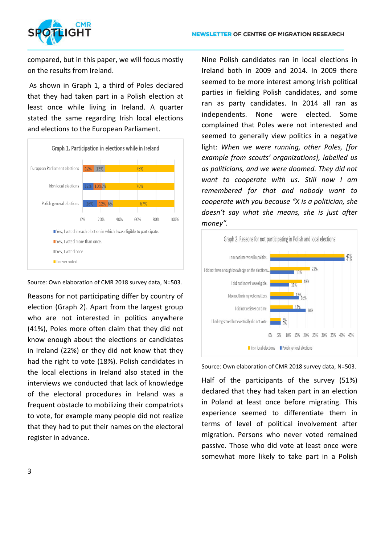

compared, but in this paper, we will focus mostly on the results from Ireland.

 As shown in Graph 1, a third of Poles declared that they had taken part in a Polish election at least once while living in Ireland. A quarter stated the same regarding Irish local elections and elections to the European Parliament.



Source: Own elaboration of CMR 2018 survey data, N=503.

Reasons for not participating differ by country of election (Graph 2). Apart from the largest group who are not interested in politics anywhere (41%), Poles more often claim that they did not know enough about the elections or candidates in Ireland (22%) or they did not know that they had the right to vote (18%). Polish candidates in the local elections in Ireland also stated in the interviews we conducted that lack of knowledge of the electoral procedures in Ireland was a frequent obstacle to mobilizing their compatriots to vote, for example many people did not realize that they had to put their names on the electoral register in advance.

Nine Polish candidates ran in local elections in Ireland both in 2009 and 2014. In 2009 there seemed to be more interest among Irish political parties in fielding Polish candidates, and some ran as party candidates. In 2014 all ran as independents. None were elected. Some complained that Poles were not interested and seemed to generally view politics in a negative light: *When we were running, other Poles, [for example from scouts' organizations], labelled us as politicians, and we were doomed. They did not want to cooperate with us. Still now I am remembered for that and nobody want to cooperate with you because "X is a politician, she doesn't say what she means, she is just after money".*



Source: Own elaboration of CMR 2018 survey data, N=503.

Half of the participants of the survey (51%) declared that they had taken part in an election in Poland at least once before migrating. This experience seemed to differentiate them in terms of level of political involvement after migration. Persons who never voted remained passive. Those who did vote at least once were somewhat more likely to take part in a Polish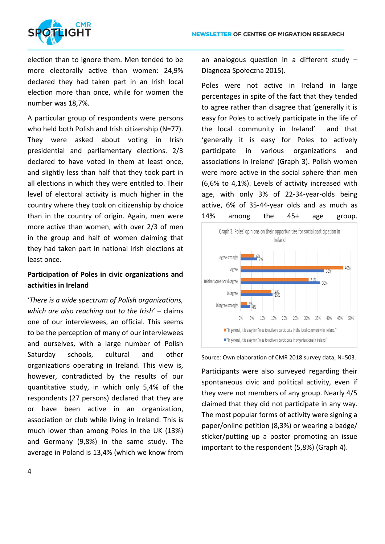

election than to ignore them. Men tended to be more electorally active than women: 24,9% declared they had taken part in an Irish local election more than once, while for women the number was 18,7%.

A particular group of respondents were persons who held both Polish and Irish citizenship (N=77). They were asked about voting in Irish presidential and parliamentary elections. 2/3 declared to have voted in them at least once, and slightly less than half that they took part in all elections in which they were entitled to. Their level of electoral activity is much higher in the country where they took on citizenship by choice than in the country of origin. Again, men were more active than women, with over 2/3 of men in the group and half of women claiming that they had taken part in national Irish elections at least once.

#### **Participation of Poles in civic organizations and activities in Ireland**

'*There is a wide spectrum of Polish organizations, which are also reaching out to the Irish*' – claims one of our interviewees, an official. This seems to be the perception of many of our interviewees and ourselves, with a large number of Polish Saturday schools, cultural and other organizations operating in Ireland. This view is, however, contradicted by the results of our quantitative study, in which only 5,4% of the respondents (27 persons) declared that they are or have been active in an organization, association or club while living in Ireland. This is much lower than among Poles in the UK (13%) and Germany (9,8%) in the same study. The average in Poland is 13,4% (which we know from

an analogous question in a different study – Diagnoza Społeczna 2015).

Poles were not active in Ireland in large percentages in spite of the fact that they tended to agree rather than disagree that 'generally it is easy for Poles to actively participate in the life of the local community in Ireland' and that 'generally it is easy for Poles to actively participate in various organizations and associations in Ireland' (Graph 3). Polish women were more active in the social sphere than men (6,6% to 4,1%). Levels of activity increased with age, with only 3% of 22-34-year-olds being active, 6% of 35-44-year olds and as much as 14% among the 45+ age group.





Participants were also surveyed regarding their spontaneous civic and political activity, even if they were not members of any group. Nearly 4/5 claimed that they did not participate in any way. The most popular forms of activity were signing a paper/online petition (8,3%) or wearing a badge/ sticker/putting up a poster promoting an issue important to the respondent (5,8%) (Graph 4).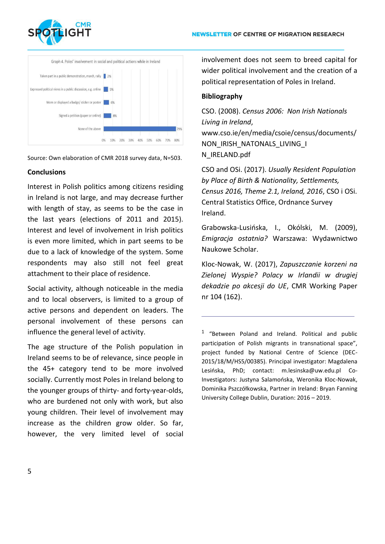



Source: Own elaboration of CMR 2018 survey data, N=503.

#### **Conclusions**

Interest in Polish politics among citizens residing in Ireland is not large, and may decrease further with length of stay, as seems to be the case in the last years (elections of 2011 and 2015). Interest and level of involvement in Irish politics is even more limited, which in part seems to be due to a lack of knowledge of the system. Some respondents may also still not feel great attachment to their place of residence.

Social activity, although noticeable in the media and to local observers, is limited to a group of active persons and dependent on leaders. The personal involvement of these persons can influence the general level of activity.

The age structure of the Polish population in Ireland seems to be of relevance, since people in the 45+ category tend to be more involved socially. Currently most Poles in Ireland belong to the younger groups of thirty- and forty-year-olds, who are burdened not only with work, but also young children. Their level of involvement may increase as the children grow older. So far, however, the very limited level of social involvement does not seem to breed capital for wider political involvement and the creation of a political representation of Poles in Ireland.

#### **Bibliography**

CSO. (2008). *Census 2006: Non Irish Nationals Living in Ireland*, www.cso.ie/en/media/csoie/census/documents/ NON\_IRISH\_NATONALS\_LIVING\_I N\_IRELAND.pdf

CSO and OSi. (2017). *Usually Resident Population by Place of Birth & Nationality, Settlements, Census 2016, Theme 2.1, Ireland, 2016*, CSO i OSi. Central Statistics Office, Ordnance Survey Ireland.

Grabowska-Lusińska, I., Okólski, M. (2009), *Emigracja ostatnia?* Warszawa: Wydawnictwo Naukowe Scholar.

Kloc-Nowak, W. (2017), *Zapuszczanie korzeni na Zielonej Wyspie? Polacy w Irlandii w drugiej dekadzie po akcesji do UE*, CMR Working Paper nr 104 (162).

<sup>1</sup> "Between Poland and Ireland. Political and public participation of Polish migrants in transnational space", project funded by National Centre of Science (DEC-2015/18/M/HS5/00385). Principal investigator: Magdalena Lesińska, PhD; contact: m.lesinska@uw.edu.pl Co-Investigators: Justyna Salamońska, Weronika Kloc-Nowak, Dominika Pszczółkowska, Partner in Ireland: Bryan Fanning University College Dublin, Duration: 2016 – 2019.